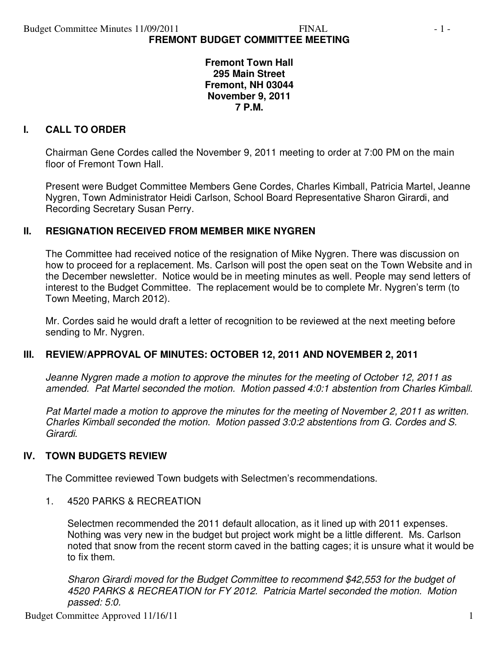**Fremont Town Hall 295 Main Street Fremont, NH 03044 November 9, 2011 7 P.M.** 

### **I. CALL TO ORDER**

Chairman Gene Cordes called the November 9, 2011 meeting to order at 7:00 PM on the main floor of Fremont Town Hall.

Present were Budget Committee Members Gene Cordes, Charles Kimball, Patricia Martel, Jeanne Nygren, Town Administrator Heidi Carlson, School Board Representative Sharon Girardi, and Recording Secretary Susan Perry.

### **II. RESIGNATION RECEIVED FROM MEMBER MIKE NYGREN**

The Committee had received notice of the resignation of Mike Nygren. There was discussion on how to proceed for a replacement. Ms. Carlson will post the open seat on the Town Website and in the December newsletter. Notice would be in meeting minutes as well. People may send letters of interest to the Budget Committee. The replacement would be to complete Mr. Nygren's term (to Town Meeting, March 2012).

Mr. Cordes said he would draft a letter of recognition to be reviewed at the next meeting before sending to Mr. Nygren.

### **III. REVIEW/APPROVAL OF MINUTES: OCTOBER 12, 2011 AND NOVEMBER 2, 2011**

*Jeanne Nygren made a motion to approve the minutes for the meeting of October 12, 2011 as amended. Pat Martel seconded the motion. Motion passed 4:0:1 abstention from Charles Kimball.* 

*Pat Martel made a motion to approve the minutes for the meeting of November 2, 2011 as written. Charles Kimball seconded the motion. Motion passed 3:0:2 abstentions from G. Cordes and S. Girardi.* 

### **IV. TOWN BUDGETS REVIEW**

The Committee reviewed Town budgets with Selectmen's recommendations.

1. 4520 PARKS & RECREATION

Selectmen recommended the 2011 default allocation, as it lined up with 2011 expenses. Nothing was very new in the budget but project work might be a little different. Ms. Carlson noted that snow from the recent storm caved in the batting cages; it is unsure what it would be to fix them.

*Sharon Girardi moved for the Budget Committee to recommend \$42,553 for the budget of 4520 PARKS & RECREATION for FY 2012. Patricia Martel seconded the motion. Motion passed: 5:0.*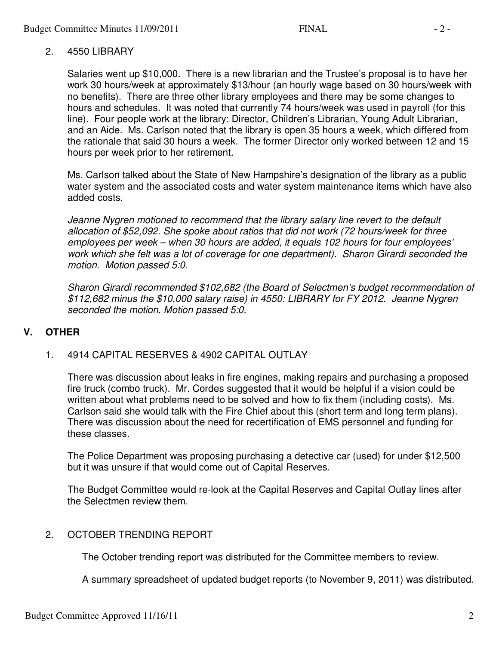### 2. 4550 LIBRARY

Salaries went up \$10,000. There is a new librarian and the Trustee's proposal is to have her work 30 hours/week at approximately \$13/hour (an hourly wage based on 30 hours/week with no benefits). There are three other library employees and there may be some changes to hours and schedules. It was noted that currently 74 hours/week was used in payroll (for this line). Four people work at the library: Director, Children's Librarian, Young Adult Librarian, and an Aide. Ms. Carlson noted that the library is open 35 hours a week, which differed from the rationale that said 30 hours a week. The former Director only worked between 12 and 15 hours per week prior to her retirement.

Ms. Carlson talked about the State of New Hampshire's designation of the library as a public water system and the associated costs and water system maintenance items which have also added costs.

*Jeanne Nygren motioned to recommend that the library salary line revert to the default allocation of \$52,092. She spoke about ratios that did not work (72 hours/week for three employees per week – when 30 hours are added, it equals 102 hours for four employees' work which she felt was a lot of coverage for one department). Sharon Girardi seconded the motion. Motion passed 5:0.* 

*Sharon Girardi recommended \$102,682 (the Board of Selectmen's budget recommendation of \$112,682 minus the \$10,000 salary raise) in 4550: LIBRARY for FY 2012. Jeanne Nygren seconded the motion. Motion passed 5:0.* 

## **V. OTHER**

1. 4914 CAPITAL RESERVES & 4902 CAPITAL OUTLAY

There was discussion about leaks in fire engines, making repairs and purchasing a proposed fire truck (combo truck). Mr. Cordes suggested that it would be helpful if a vision could be written about what problems need to be solved and how to fix them (including costs). Ms. Carlson said she would talk with the Fire Chief about this (short term and long term plans). There was discussion about the need for recertification of EMS personnel and funding for these classes.

The Police Department was proposing purchasing a detective car (used) for under \$12,500 but it was unsure if that would come out of Capital Reserves.

The Budget Committee would re-look at the Capital Reserves and Capital Outlay lines after the Selectmen review them.

### 2. OCTOBER TRENDING REPORT

The October trending report was distributed for the Committee members to review.

A summary spreadsheet of updated budget reports (to November 9, 2011) was distributed.